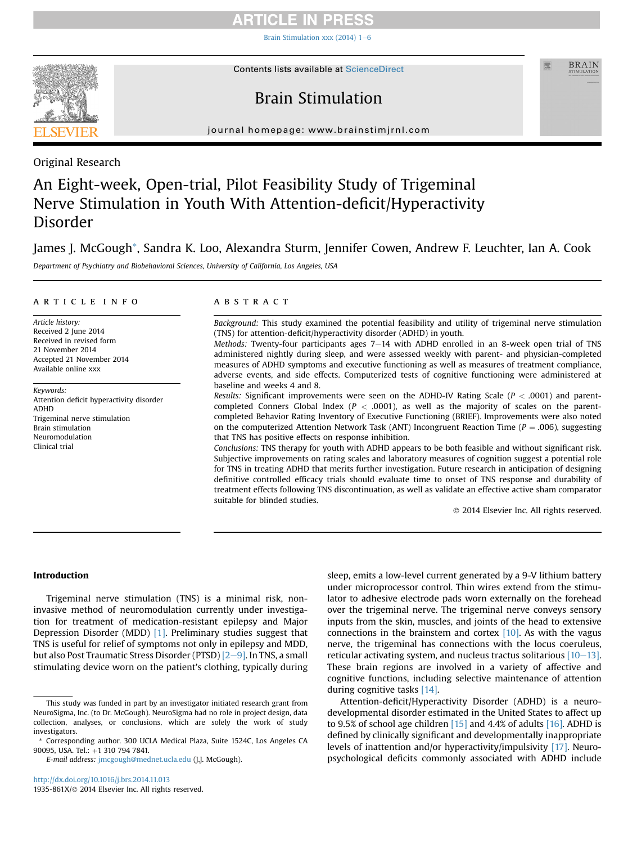## **RTICLE IN PRESS**

Brain Stimulation xxx (2014)  $1-6$  $1-6$ 



**Contents lists available at ScienceDirect** 

### **BRAIN**

## Brain Stimulation

journal homepage: [www.brainstimjrnl.com](http://www.brainstimjrnl.com)

Original Research

# An Eight-week, Open-trial, Pilot Feasibility Study of Trigeminal Nerve Stimulation in Youth With Attention-deficit/Hyperactivity Disorder

### James J. McGough\*, Sandra K. Loo, Alexandra Sturm, Jennifer Cowen, Andrew F. Leuchter, Ian A. Cook

Department of Psychiatry and Biobehavioral Sciences, University of California, Los Angeles, USA

#### article info

Article history: Received 2 June 2014 Received in revised form 21 November 2014 Accepted 21 November 2014 Available online xxx

Keywords: Attention deficit hyperactivity disorder ADHD Trigeminal nerve stimulation Brain stimulation Neuromodulation Clinical trial

#### ABSTRACT

Background: This study examined the potential feasibility and utility of trigeminal nerve stimulation (TNS) for attention-deficit/hyperactivity disorder (ADHD) in youth.

Methods: Twenty-four participants ages  $7-14$  with ADHD enrolled in an 8-week open trial of TNS administered nightly during sleep, and were assessed weekly with parent- and physician-completed measures of ADHD symptoms and executive functioning as well as measures of treatment compliance, adverse events, and side effects. Computerized tests of cognitive functioning were administered at baseline and weeks 4 and 8.

Results: Significant improvements were seen on the ADHD-IV Rating Scale ( $P < .0001$ ) and parentcompleted Conners Global Index ( $P < .0001$ ), as well as the majority of scales on the parentcompleted Behavior Rating Inventory of Executive Functioning (BRIEF). Improvements were also noted on the computerized Attention Network Task (ANT) Incongruent Reaction Time ( $P = .006$ ), suggesting that TNS has positive effects on response inhibition.

Conclusions: TNS therapy for youth with ADHD appears to be both feasible and without significant risk. Subjective improvements on rating scales and laboratory measures of cognition suggest a potential role for TNS in treating ADHD that merits further investigation. Future research in anticipation of designing definitive controlled efficacy trials should evaluate time to onset of TNS response and durability of treatment effects following TNS discontinuation, as well as validate an effective active sham comparator suitable for blinded studies.

2014 Elsevier Inc. All rights reserved.

#### Introduction

Trigeminal nerve stimulation (TNS) is a minimal risk, noninvasive method of neuromodulation currently under investigation for treatment of medication-resistant epilepsy and Major Depression Disorder (MDD) [\[1\].](#page-4-0) Preliminary studies suggest that TNS is useful for relief of symptoms not only in epilepsy and MDD, but also Post Traumatic Stress Disorder (PTSD)  $[2-9]$  $[2-9]$  $[2-9]$ . In TNS, a small stimulating device worn on the patient's clothing, typically during sleep, emits a low-level current generated by a 9-V lithium battery under microprocessor control. Thin wires extend from the stimulator to adhesive electrode pads worn externally on the forehead over the trigeminal nerve. The trigeminal nerve conveys sensory inputs from the skin, muscles, and joints of the head to extensive connections in the brainstem and cortex  $[10]$ . As with the vagus nerve, the trigeminal has connections with the locus coeruleus, reticular activating system, and nucleus tractus solitarious  $[10-13]$  $[10-13]$  $[10-13]$ . These brain regions are involved in a variety of affective and cognitive functions, including selective maintenance of attention during cognitive tasks [\[14\]](#page-4-0).

Attention-deficit/Hyperactivity Disorder (ADHD) is a neurodevelopmental disorder estimated in the United States to affect up to 9.5% of school age children  $[15]$  and 4.4% of adults  $[16]$ . ADHD is defined by clinically significant and developmentally inappropriate levels of inattention and/or hyperactivity/impulsivity [\[17\].](#page-4-0) Neuropsychological deficits commonly associated with ADHD include

This study was funded in part by an investigator initiated research grant from NeuroSigma, Inc. (to Dr. McGough). NeuroSigma had no role in project design, data collection, analyses, or conclusions, which are solely the work of study investigators.

<sup>\*</sup> Corresponding author. 300 UCLA Medical Plaza, Suite 1524C, Los Angeles CA 90095, USA. Tel.: +1 310 794 7841.

E-mail address: [jmcgough@mednet.ucla.edu](mailto:jmcgough@mednet.ucla.edu) (J.J. McGough).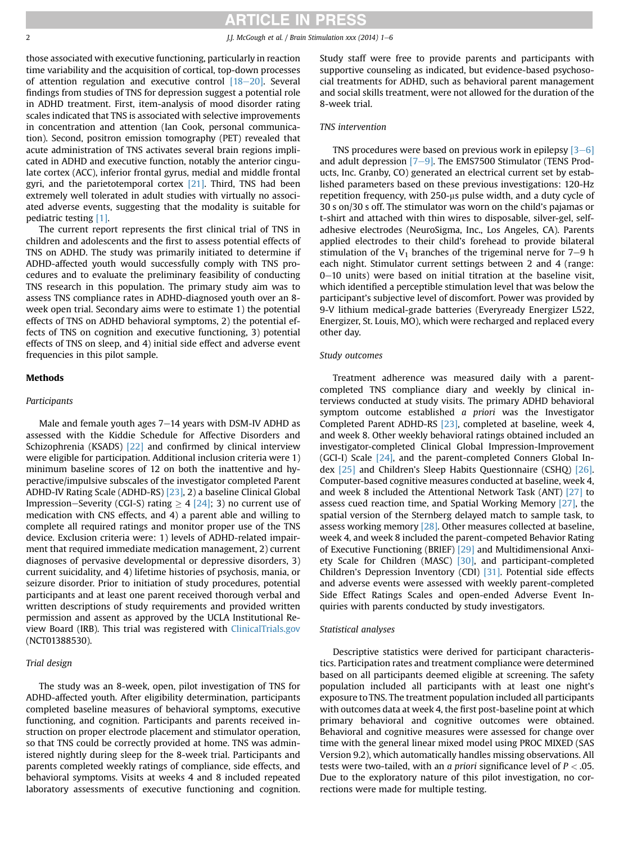### **RTICLE IN PRESS**

2 J.J. McGough et al. / Brain Stimulation xxx (2014) 1–6

those associated with executive functioning, particularly in reaction time variability and the acquisition of cortical, top-down processes of attention regulation and executive control  $[18-20]$  $[18-20]$ . Several findings from studies of TNS for depression suggest a potential role in ADHD treatment. First, item-analysis of mood disorder rating scales indicated that TNS is associated with selective improvements in concentration and attention (Ian Cook, personal communication). Second, positron emission tomography (PET) revealed that acute administration of TNS activates several brain regions implicated in ADHD and executive function, notably the anterior cingulate cortex (ACC), inferior frontal gyrus, medial and middle frontal gyri, and the parietotemporal cortex [\[21\]](#page-4-0). Third, TNS had been extremely well tolerated in adult studies with virtually no associated adverse events, suggesting that the modality is suitable for pediatric testing [\[1\].](#page-4-0)

The current report represents the first clinical trial of TNS in children and adolescents and the first to assess potential effects of TNS on ADHD. The study was primarily initiated to determine if ADHD-affected youth would successfully comply with TNS procedures and to evaluate the preliminary feasibility of conducting TNS research in this population. The primary study aim was to assess TNS compliance rates in ADHD-diagnosed youth over an 8 week open trial. Secondary aims were to estimate 1) the potential effects of TNS on ADHD behavioral symptoms, 2) the potential effects of TNS on cognition and executive functioning, 3) potential effects of TNS on sleep, and 4) initial side effect and adverse event frequencies in this pilot sample.

#### **Methods**

#### Participants

Male and female youth ages  $7-14$  years with DSM-IV ADHD as assessed with the Kiddie Schedule for Affective Disorders and Schizophrenia (KSADS) [\[22\]](#page-4-0) and confirmed by clinical interview were eligible for participation. Additional inclusion criteria were 1) minimum baseline scores of 12 on both the inattentive and hyperactive/impulsive subscales of the investigator completed Parent ADHD-IV Rating Scale (ADHD-RS) [\[23\],](#page-5-0) 2) a baseline Clinical Global Impression–Severity (CGI-S) rating  $\geq 4$  [\[24\];](#page-5-0) 3) no current use of medication with CNS effects, and 4) a parent able and willing to complete all required ratings and monitor proper use of the TNS device. Exclusion criteria were: 1) levels of ADHD-related impairment that required immediate medication management, 2) current diagnoses of pervasive developmental or depressive disorders, 3) current suicidality, and 4) lifetime histories of psychosis, mania, or seizure disorder. Prior to initiation of study procedures, potential participants and at least one parent received thorough verbal and written descriptions of study requirements and provided written permission and assent as approved by the UCLA Institutional Review Board (IRB). This trial was registered with [ClinicalTrials.gov](http://ClinicalTrials.gov) (NCT01388530).

#### Trial design

The study was an 8-week, open, pilot investigation of TNS for ADHD-affected youth. After eligibility determination, participants completed baseline measures of behavioral symptoms, executive functioning, and cognition. Participants and parents received instruction on proper electrode placement and stimulator operation, so that TNS could be correctly provided at home. TNS was administered nightly during sleep for the 8-week trial. Participants and parents completed weekly ratings of compliance, side effects, and behavioral symptoms. Visits at weeks 4 and 8 included repeated laboratory assessments of executive functioning and cognition. Study staff were free to provide parents and participants with supportive counseling as indicated, but evidence-based psychosocial treatments for ADHD, such as behavioral parent management and social skills treatment, were not allowed for the duration of the 8-week trial.

#### TNS intervention

TNS procedures were based on previous work in epilepsy  $[3-6]$  $[3-6]$  $[3-6]$ and adult depression  $[7-9]$  $[7-9]$ . The EMS7500 Stimulator (TENS Products, Inc. Granby, CO) generated an electrical current set by established parameters based on these previous investigations: 120-Hz repetition frequency, with 250-us pulse width, and a duty cycle of 30 s on/30 s off. The stimulator was worn on the child's pajamas or t-shirt and attached with thin wires to disposable, silver-gel, selfadhesive electrodes (NeuroSigma, Inc., Los Angeles, CA). Parents applied electrodes to their child's forehead to provide bilateral stimulation of the  $V_1$  branches of the trigeminal nerve for  $7-9$  h each night. Stimulator current settings between 2 and 4 (range: 0-10 units) were based on initial titration at the baseline visit, which identified a perceptible stimulation level that was below the participant's subjective level of discomfort. Power was provided by 9-V lithium medical-grade batteries (Everyready Energizer L522, Energizer, St. Louis, MO), which were recharged and replaced every other day.

#### Study outcomes

Treatment adherence was measured daily with a parentcompleted TNS compliance diary and weekly by clinical interviews conducted at study visits. The primary ADHD behavioral symptom outcome established a priori was the Investigator Completed Parent ADHD-RS [\[23\]](#page-5-0), completed at baseline, week 4, and week 8. Other weekly behavioral ratings obtained included an investigator-completed Clinical Global Impression-Improvement (GCI-I) Scale [\[24\],](#page-5-0) and the parent-completed Conners Global Index [\[25\]](#page-5-0) and Children's Sleep Habits Questionnaire (CSHQ) [\[26\]](#page-5-0). Computer-based cognitive measures conducted at baseline, week 4, and week 8 included the Attentional Network Task (ANT) [\[27\]](#page-5-0) to assess cued reaction time, and Spatial Working Memory [\[27\]](#page-5-0), the spatial version of the Sternberg delayed match to sample task, to assess working memory [\[28\].](#page-5-0) Other measures collected at baseline, week 4, and week 8 included the parent-competed Behavior Rating of Executive Functioning (BRIEF) [\[29\]](#page-5-0) and Multidimensional Anxi-ety Scale for Children (MASC) [\[30\]](#page-5-0), and participant-completed Children's Depression Inventory (CDI) [\[31\].](#page-5-0) Potential side effects and adverse events were assessed with weekly parent-completed Side Effect Ratings Scales and open-ended Adverse Event Inquiries with parents conducted by study investigators.

#### Statistical analyses

Descriptive statistics were derived for participant characteristics. Participation rates and treatment compliance were determined based on all participants deemed eligible at screening. The safety population included all participants with at least one night's exposure to TNS. The treatment population included all participants with outcomes data at week 4, the first post-baseline point at which primary behavioral and cognitive outcomes were obtained. Behavioral and cognitive measures were assessed for change over time with the general linear mixed model using PROC MIXED (SAS Version 9.2), which automatically handles missing observations. All tests were two-tailed, with an a priori significance level of  $P < .05$ . Due to the exploratory nature of this pilot investigation, no corrections were made for multiple testing.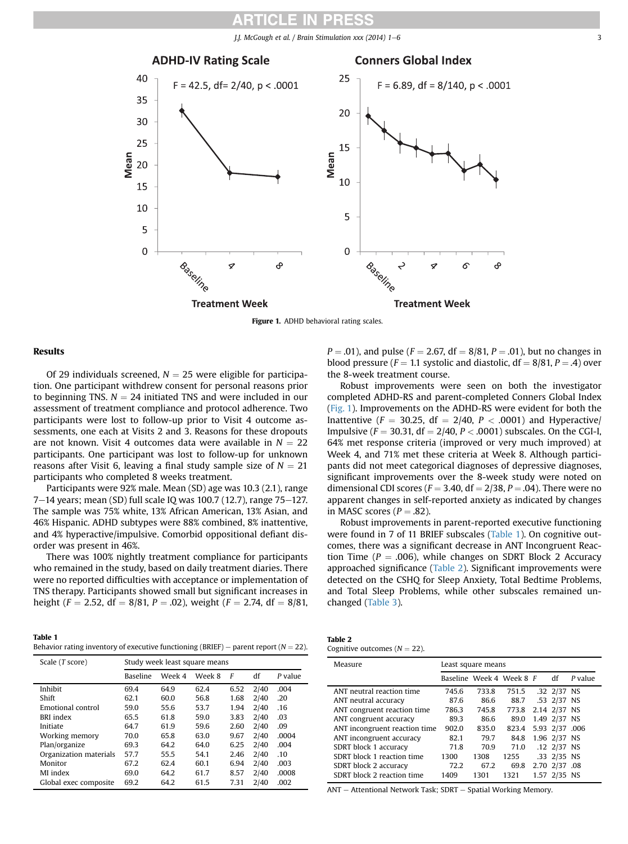*J.J. McGough et al.* / Brain Stimulation  $xxx$  (2014) 1–6  $3$ 





#### Results

Of 29 individuals screened,  $N = 25$  were eligible for participation. One participant withdrew consent for personal reasons prior to beginning TNS.  $N = 24$  initiated TNS and were included in our assessment of treatment compliance and protocol adherence. Two participants were lost to follow-up prior to Visit 4 outcome assessments, one each at Visits 2 and 3. Reasons for these dropouts are not known. Visit 4 outcomes data were available in  $N = 22$ participants. One participant was lost to follow-up for unknown reasons after Visit 6, leaving a final study sample size of  $N = 21$ participants who completed 8 weeks treatment.

Participants were 92% male. Mean (SD) age was 10.3 (2.1), range 7 $-14$  years; mean (SD) full scale IQ was 100.7 (12.7), range 75 $-127$ . The sample was 75% white, 13% African American, 13% Asian, and 46% Hispanic. ADHD subtypes were 88% combined, 8% inattentive, and 4% hyperactive/impulsive. Comorbid oppositional defiant disorder was present in 46%.

There was 100% nightly treatment compliance for participants who remained in the study, based on daily treatment diaries. There were no reported difficulties with acceptance or implementation of TNS therapy. Participants showed small but significant increases in height ( $F = 2.52$ , df = 8/81, P = .02), weight ( $F = 2.74$ , df = 8/81,

 $P = .01$ ), and pulse ( $F = 2.67$ , df = 8/81,  $P = .01$ ), but no changes in blood pressure ( $F = 1.1$  systolic and diastolic, df = 8/81, P = .4) over the 8-week treatment course. Robust improvements were seen on both the investigator

completed ADHD-RS and parent-completed Conners Global Index (Fig. 1). Improvements on the ADHD-RS were evident for both the Inattentive ( $F = 30.25$ , df = 2/40,  $P < .0001$ ) and Hyperactive/ Impulsive ( $F = 30.31$ , df = 2/40,  $P < .0001$ ) subscales. On the CGI-I, 64% met response criteria (improved or very much improved) at Week 4, and 71% met these criteria at Week 8. Although participants did not meet categorical diagnoses of depressive diagnoses, significant improvements over the 8-week study were noted on dimensional CDI scores ( $F = 3.40$ , df = 2/38, P = .04). There were no apparent changes in self-reported anxiety as indicated by changes in MASC scores ( $P = .82$ ).

Robust improvements in parent-reported executive functioning were found in 7 of 11 BRIEF subscales (Table 1). On cognitive outcomes, there was a significant decrease in ANT Incongruent Reaction Time ( $P = .006$ ), while changes on SDRT Block 2 Accuracy approached significance (Table 2). Significant improvements were detected on the CSHQ for Sleep Anxiety, Total Bedtime Problems, and Total Sleep Problems, while other subscales remained unchanged ([Table 3\)](#page-3-0).

| Table 1                                                                                  |  |
|------------------------------------------------------------------------------------------|--|
| Behavior rating inventory of executive functioning (BRIEF) – parent report ( $N = 22$ ). |  |

| Scale (T score)        | Study week least square means |        |        |      |      |         |
|------------------------|-------------------------------|--------|--------|------|------|---------|
|                        | <b>Baseline</b>               | Week 4 | Week 8 | F    | df   | P value |
| Inhibit                | 69.4                          | 64.9   | 62.4   | 6.52 | 2/40 | .004    |
| Shift                  | 62.1                          | 60.0   | 56.8   | 1.68 | 2/40 | .20     |
| Emotional control      | 59.0                          | 55.6   | 53.7   | 1.94 | 2/40 | .16     |
| <b>BRI</b> index       | 65.5                          | 61.8   | 59.0   | 3.83 | 2/40 | .03     |
| Initiate               | 64.7                          | 61.9   | 59.6   | 2.60 | 2/40 | .09     |
| Working memory         | 70.0                          | 65.8   | 63.0   | 9.67 | 2/40 | .0004   |
| Plan/organize          | 69.3                          | 64.2   | 64.0   | 6.25 | 2/40 | .004    |
| Organization materials | 57.7                          | 55.5   | 54.1   | 2.46 | 2/40 | .10     |
| Monitor                | 67.2                          | 62.4   | 60.1   | 6.94 | 2/40 | .003    |
| MI index               | 69.0                          | 64.2   | 61.7   | 8.57 | 2/40 | .0008   |
| Global exec composite  | 69.2                          | 64.2   | 61.5   | 7.31 | 2/40 | .002    |

| Table 2                          |  |
|----------------------------------|--|
| Cognitive outcomes ( $N = 22$ ). |  |

| Measure                       | Least square means |       |                          |      |                |         |
|-------------------------------|--------------------|-------|--------------------------|------|----------------|---------|
|                               |                    |       | Baseline Week 4 Week 8 F |      | df             | P value |
| ANT neutral reaction time     | 745.6              | 733.8 | 751.5                    |      | .32 2/37 NS    |         |
| ANT neutral accuracy          | 87.6               | 86.6  | 88.7                     |      | .53 2/37 NS    |         |
| ANT congruent reaction time   | 786.3              | 745.8 | 773.8                    |      | 2.14 2/37 NS   |         |
| ANT congruent accuracy        | 89.3               | 86.6  | 89.0                     |      | 1.49 2/37 NS   |         |
| ANT incongruent reaction time | 902.0              | 835.0 | 823.4                    |      | 5.93 2/37 .006 |         |
| ANT incongruent accuracy      | 82.1               | 79.7  | 84.8                     |      | 1.96 2/37 NS   |         |
| SDRT block 1 accuracy         | 71.8               | 70.9  | 71.0                     |      | .12 2/37 NS    |         |
| SDRT block 1 reaction time    | 1300               | 1308  | 1255                     |      | .33 2/35 NS    |         |
| SDRT block 2 accuracy         | 72.2               | 67.2  | 69.8                     |      | 2.70 2/37      | .08     |
| SDRT block 2 reaction time    | 1409               | 1301  | 1321                     | 1.57 | 2/35           | NS      |

ANT - Attentional Network Task; SDRT - Spatial Working Memory.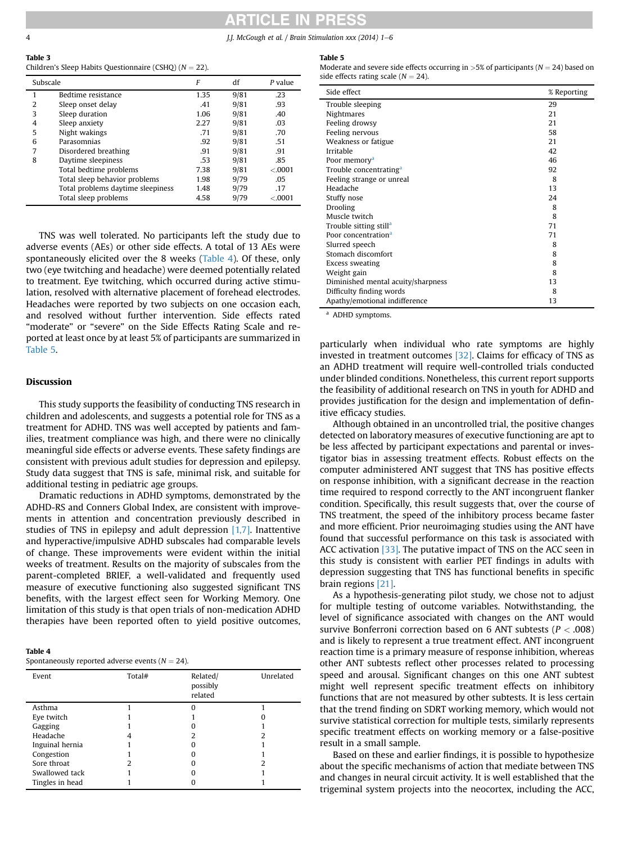### **ARTICLE IN PRESS**

<span id="page-3-0"></span>4 J.J. McGough et al. / Brain Stimulation xxx (2014) 1-6

#### Table 3 Children's Sleep Habits Questionnaire (CSHQ) ( $N = 22$ ).

| Subscale |                                   | F    | df   | P value  |
|----------|-----------------------------------|------|------|----------|
|          | Bedtime resistance                | 1.35 | 9/81 | .23      |
| 2        | Sleep onset delay                 | .41  | 9/81 | .93      |
| 3        | Sleep duration                    | 1.06 | 9/81 | .40      |
| 4        | Sleep anxiety                     | 2.27 | 9/81 | .03      |
| 5        | Night wakings                     | .71  | 9/81 | .70      |
| 6        | Parasomnias                       | .92  | 9/81 | .51      |
| 7        | Disordered breathing              | .91  | 9/81 | .91      |
| 8        | Daytime sleepiness                | .53  | 9/81 | .85      |
|          | Total bedtime problems            | 7.38 | 9/81 | < .0001  |
|          | Total sleep behavior problems     | 1.98 | 9/79 | .05      |
|          | Total problems daytime sleepiness | 1.48 | 9/79 | .17      |
|          | Total sleep problems              | 4.58 | 9/79 | < 0.0001 |

TNS was well tolerated. No participants left the study due to adverse events (AEs) or other side effects. A total of 13 AEs were spontaneously elicited over the 8 weeks (Table 4). Of these, only two (eye twitching and headache) were deemed potentially related to treatment. Eye twitching, which occurred during active stimulation, resolved with alternative placement of forehead electrodes. Headaches were reported by two subjects on one occasion each, and resolved without further intervention. Side effects rated "moderate" or "severe" on the Side Effects Rating Scale and reported at least once by at least 5% of participants are summarized in Table 5.

#### Discussion

This study supports the feasibility of conducting TNS research in children and adolescents, and suggests a potential role for TNS as a treatment for ADHD. TNS was well accepted by patients and families, treatment compliance was high, and there were no clinically meaningful side effects or adverse events. These safety findings are consistent with previous adult studies for depression and epilepsy. Study data suggest that TNS is safe, minimal risk, and suitable for additional testing in pediatric age groups.

Dramatic reductions in ADHD symptoms, demonstrated by the ADHD-RS and Conners Global Index, are consistent with improvements in attention and concentration previously described in studies of TNS in epilepsy and adult depression [\[1,7\]](#page-4-0). Inattentive and hyperactive/impulsive ADHD subscales had comparable levels of change. These improvements were evident within the initial weeks of treatment. Results on the majority of subscales from the parent-completed BRIEF, a well-validated and frequently used measure of executive functioning also suggested significant TNS benefits, with the largest effect seen for Working Memory. One limitation of this study is that open trials of non-medication ADHD therapies have been reported often to yield positive outcomes,

|--|--|

Spontaneously reported adverse events ( $N = 24$ ).

| Event           | Total# | Related/<br>possibly<br>related | Unrelated |
|-----------------|--------|---------------------------------|-----------|
| Asthma          |        | n                               |           |
| Eye twitch      |        |                                 |           |
| Gagging         |        |                                 |           |
| Headache        | 4      |                                 |           |
| Inguinal hernia |        |                                 |           |
| Congestion      |        |                                 |           |
| Sore throat     |        |                                 |           |
| Swallowed tack  |        |                                 |           |
| Tingles in head |        |                                 |           |
|                 |        |                                 |           |

#### Table 5

| Moderate and severe side effects occurring in >5% of participants ( $N = 24$ ) based on |  |
|-----------------------------------------------------------------------------------------|--|
| side effects rating scale $(N = 24)$ .                                                  |  |

| Side effect                        | % Reporting |
|------------------------------------|-------------|
| Trouble sleeping                   | 29          |
| <b>Nightmares</b>                  | 21          |
| Feeling drowsy                     | 21          |
| Feeling nervous                    | 58          |
| Weakness or fatigue                | 21          |
| Irritable                          | 42          |
| Poor memory <sup>a</sup>           | 46          |
| Trouble concentrating <sup>a</sup> | 92          |
| Feeling strange or unreal          | 8           |
| Headache                           | 13          |
| Stuffy nose                        | 24          |
| <b>Drooling</b>                    | 8           |
| Muscle twitch                      | 8           |
| Trouble sitting still <sup>a</sup> | 71          |
| Poor concentration <sup>a</sup>    | 71          |
| Slurred speech                     | 8           |
| Stomach discomfort                 | 8           |
| Excess sweating                    | 8           |
| Weight gain                        | 8           |
| Diminished mental acuity/sharpness | 13          |
| Difficulty finding words           | 8           |
| Apathy/emotional indifference      | 13          |

 $\overline{a}$  ADHD symptoms.

particularly when individual who rate symptoms are highly invested in treatment outcomes [\[32\]](#page-5-0). Claims for efficacy of TNS as an ADHD treatment will require well-controlled trials conducted under blinded conditions. Nonetheless, this current report supports the feasibility of additional research on TNS in youth for ADHD and provides justification for the design and implementation of definitive efficacy studies.

Although obtained in an uncontrolled trial, the positive changes detected on laboratory measures of executive functioning are apt to be less affected by participant expectations and parental or investigator bias in assessing treatment effects. Robust effects on the computer administered ANT suggest that TNS has positive effects on response inhibition, with a significant decrease in the reaction time required to respond correctly to the ANT incongruent flanker condition. Specifically, this result suggests that, over the course of TNS treatment, the speed of the inhibitory process became faster and more efficient. Prior neuroimaging studies using the ANT have found that successful performance on this task is associated with ACC activation [\[33\].](#page-5-0) The putative impact of TNS on the ACC seen in this study is consistent with earlier PET findings in adults with depression suggesting that TNS has functional benefits in specific brain regions [\[21\].](#page-4-0)

As a hypothesis-generating pilot study, we chose not to adjust for multiple testing of outcome variables. Notwithstanding, the level of significance associated with changes on the ANT would survive Bonferroni correction based on 6 ANT subtests ( $P < .008$ ) and is likely to represent a true treatment effect. ANT incongruent reaction time is a primary measure of response inhibition, whereas other ANT subtests reflect other processes related to processing speed and arousal. Significant changes on this one ANT subtest might well represent specific treatment effects on inhibitory functions that are not measured by other subtests. It is less certain that the trend finding on SDRT working memory, which would not survive statistical correction for multiple tests, similarly represents specific treatment effects on working memory or a false-positive result in a small sample.

Based on these and earlier findings, it is possible to hypothesize about the specific mechanisms of action that mediate between TNS and changes in neural circuit activity. It is well established that the trigeminal system projects into the neocortex, including the ACC,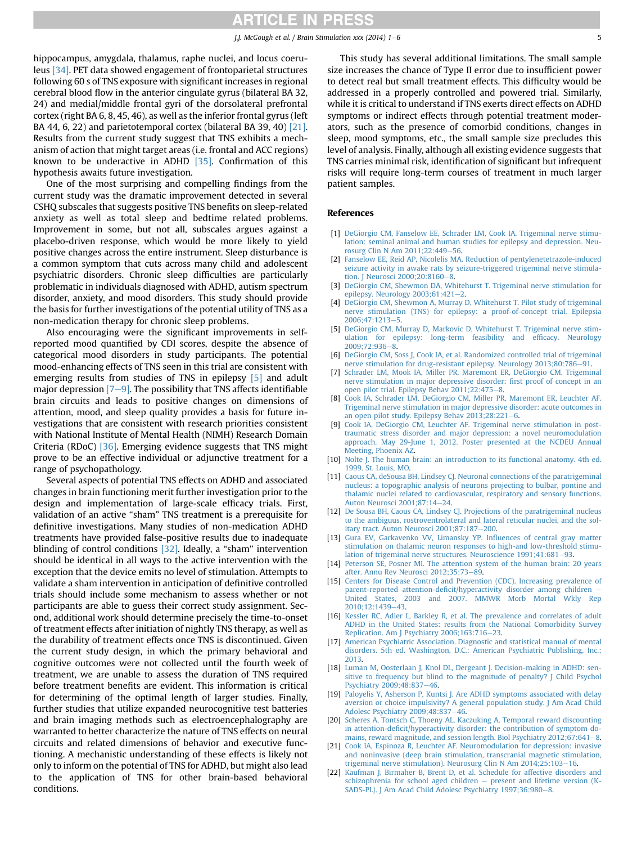<span id="page-4-0"></span>hippocampus, amygdala, thalamus, raphe nuclei, and locus coeruleus [\[34\]](#page-5-0). PET data showed engagement of frontoparietal structures following 60 s of TNS exposure with significant increases in regional cerebral blood flow in the anterior cingulate gyrus (bilateral BA 32, 24) and medial/middle frontal gyri of the dorsolateral prefrontal cortex (right BA 6, 8, 45, 46), as well as the inferior frontal gyrus (left BA 44, 6, 22) and parietotemporal cortex (bilateral BA 39, 40) [21]. Results from the current study suggest that TNS exhibits a mechanism of action that might target areas (i.e. frontal and ACC regions) known to be underactive in ADHD [\[35\]](#page-5-0). Confirmation of this hypothesis awaits future investigation.

One of the most surprising and compelling findings from the current study was the dramatic improvement detected in several CSHQ subscales that suggests positive TNS benefits on sleep-related anxiety as well as total sleep and bedtime related problems. Improvement in some, but not all, subscales argues against a placebo-driven response, which would be more likely to yield positive changes across the entire instrument. Sleep disturbance is a common symptom that cuts across many child and adolescent psychiatric disorders. Chronic sleep difficulties are particularly problematic in individuals diagnosed with ADHD, autism spectrum disorder, anxiety, and mood disorders. This study should provide the basis for further investigations of the potential utility of TNS as a non-medication therapy for chronic sleep problems.

Also encouraging were the significant improvements in selfreported mood quantified by CDI scores, despite the absence of categorical mood disorders in study participants. The potential mood-enhancing effects of TNS seen in this trial are consistent with emerging results from studies of TNS in epilepsy [5] and adult major depression  $[7-9]$ . The possibility that TNS affects identifiable brain circuits and leads to positive changes on dimensions of attention, mood, and sleep quality provides a basis for future investigations that are consistent with research priorities consistent with National Institute of Mental Health (NIMH) Research Domain Criteria (RDoC) [\[36\].](#page-5-0) Emerging evidence suggests that TNS might prove to be an effective individual or adjunctive treatment for a range of psychopathology.

Several aspects of potential TNS effects on ADHD and associated changes in brain functioning merit further investigation prior to the design and implementation of large-scale efficacy trials. First, validation of an active "sham" TNS treatment is a prerequisite for definitive investigations. Many studies of non-medication ADHD treatments have provided false-positive results due to inadequate blinding of control conditions [\[32\]](#page-5-0). Ideally, a "sham" intervention should be identical in all ways to the active intervention with the exception that the device emits no level of stimulation. Attempts to validate a sham intervention in anticipation of definitive controlled trials should include some mechanism to assess whether or not participants are able to guess their correct study assignment. Second, additional work should determine precisely the time-to-onset of treatment effects after initiation of nightly TNS therapy, as well as the durability of treatment effects once TNS is discontinued. Given the current study design, in which the primary behavioral and cognitive outcomes were not collected until the fourth week of treatment, we are unable to assess the duration of TNS required before treatment benefits are evident. This information is critical for determining of the optimal length of larger studies. Finally, further studies that utilize expanded neurocognitive test batteries and brain imaging methods such as electroencephalography are warranted to better characterize the nature of TNS effects on neural circuits and related dimensions of behavior and executive functioning. A mechanistic understanding of these effects is likely not only to inform on the potential of TNS for ADHD, but might also lead to the application of TNS for other brain-based behavioral conditions.

This study has several additional limitations. The small sample size increases the chance of Type II error due to insufficient power to detect real but small treatment effects. This difficulty would be addressed in a properly controlled and powered trial. Similarly, while it is critical to understand if TNS exerts direct effects on ADHD symptoms or indirect effects through potential treatment moderators, such as the presence of comorbid conditions, changes in sleep, mood symptoms, etc., the small sample size precludes this level of analysis. Finally, although all existing evidence suggests that TNS carries minimal risk, identification of significant but infrequent risks will require long-term courses of treatment in much larger patient samples.

#### References

- [1] [DeGiorgio CM, Fanselow EE, Schrader LM, Cook IA. Trigeminal nerve stimu](http://refhub.elsevier.com/S1935-861X(14)00388-X/sref1)[lation: seminal animal and human studies for epilepsy and depression. Neu](http://refhub.elsevier.com/S1935-861X(14)00388-X/sref1)[rosurg Clin N Am 2011;22:449](http://refhub.elsevier.com/S1935-861X(14)00388-X/sref1)-[56.](http://refhub.elsevier.com/S1935-861X(14)00388-X/sref1)
- [2] Fanselow EE, Reid AP, Nicolelis MA, Reduction of pentylenetetrazole-induced [seizure activity in awake rats by seizure-triggered trigeminal nerve stimula](http://refhub.elsevier.com/S1935-861X(14)00388-X/sref2)[tion. J Neurosci 2000;20:8160](http://refhub.elsevier.com/S1935-861X(14)00388-X/sref2)-[8](http://refhub.elsevier.com/S1935-861X(14)00388-X/sref2).
- [3] [DeGiorgio CM, Shewmon DA, Whitehurst T. Trigeminal nerve stimulation for](http://refhub.elsevier.com/S1935-861X(14)00388-X/sref3) epilepsy. Neurology  $2003;61:421-2$  $2003;61:421-2$ .
- [4] [DeGiorgio CM, Shewmon A, Murray D, Whitehurst T. Pilot study of trigeminal](http://refhub.elsevier.com/S1935-861X(14)00388-X/sref4) [nerve stimulation \(TNS\) for epilepsy: a proof-of-concept trial. Epilepsia](http://refhub.elsevier.com/S1935-861X(14)00388-X/sref4) 2006:47:1213-[5](http://refhub.elsevier.com/S1935-861X(14)00388-X/sref4)
- [5] [DeGiorgio CM, Murray D, Markovic D, Whitehurst T. Trigeminal nerve stim](http://refhub.elsevier.com/S1935-861X(14)00388-X/sref5)[ulation for epilepsy: long-term feasibility and ef](http://refhub.elsevier.com/S1935-861X(14)00388-X/sref5)ficacy. Neurology [2009;72:936](http://refhub.elsevier.com/S1935-861X(14)00388-X/sref5)-[8.](http://refhub.elsevier.com/S1935-861X(14)00388-X/sref5)
- [6] [DeGiorgio CM, Soss J, Cook IA, et al. Randomized controlled trial of trigeminal](http://refhub.elsevier.com/S1935-861X(14)00388-X/sref6) [nerve stimulation for drug-resistant epilepsy. Neurology 2013;80:786](http://refhub.elsevier.com/S1935-861X(14)00388-X/sref6)-[91](http://refhub.elsevier.com/S1935-861X(14)00388-X/sref6).
- [7] [Schrader LM, Mook IA, Miller PR, Maremont ER, DeGiorgio CM. Trigeminal](http://refhub.elsevier.com/S1935-861X(14)00388-X/sref7) [nerve stimulation in major depressive disorder:](http://refhub.elsevier.com/S1935-861X(14)00388-X/sref7) first proof of concept in an [open pilot trial. Epilepsy Behav 2011;22:475](http://refhub.elsevier.com/S1935-861X(14)00388-X/sref7)-[8](http://refhub.elsevier.com/S1935-861X(14)00388-X/sref7).
- [8] [Cook IA, Schrader LM, DeGiorgio CM, Miller PR, Maremont ER, Leuchter AF.](http://refhub.elsevier.com/S1935-861X(14)00388-X/sref8) [Trigeminal nerve stimulation in major depressive disorder: acute outcomes in](http://refhub.elsevier.com/S1935-861X(14)00388-X/sref8) an open pilot study. Epilepsy Behav  $2013;28:221-6$  $2013;28:221-6$ .
- [9] [Cook IA, DeGiorgio CM, Leuchter AF. Trigeminal nerve stimulation in post](http://refhub.elsevier.com/S1935-861X(14)00388-X/sref9)[traumatic stress disorder and major depression: a novel neuromodulation](http://refhub.elsevier.com/S1935-861X(14)00388-X/sref9) [approach. May 29-June 1, 2012. Poster presented at the NCDEU Annual](http://refhub.elsevier.com/S1935-861X(14)00388-X/sref9) [Meeting, Phoenix AZ.](http://refhub.elsevier.com/S1935-861X(14)00388-X/sref9)
- [10] [Nolte J. The human brain: an introduction to its functional anatomy. 4th ed.](http://refhub.elsevier.com/S1935-861X(14)00388-X/sref10) [1999. St. Louis, MO](http://refhub.elsevier.com/S1935-861X(14)00388-X/sref10).
- [11] [Caous CA, deSousa BH, Lindsey CJ. Neuronal connections of the paratrigeminal](http://refhub.elsevier.com/S1935-861X(14)00388-X/sref11) [nucleus: a topographic analysis of neurons projecting to bulbar, pontine and](http://refhub.elsevier.com/S1935-861X(14)00388-X/sref11) [thalamic nuclei related to cardiovascular, respiratory and sensory functions.](http://refhub.elsevier.com/S1935-861X(14)00388-X/sref11) [Auton Neurosci 2001;87:14](http://refhub.elsevier.com/S1935-861X(14)00388-X/sref11)-[24.](http://refhub.elsevier.com/S1935-861X(14)00388-X/sref11)
- [12] [De Sousa BH, Caous CA, Lindsey CJ. Projections of the paratrigeminal nucleus](http://refhub.elsevier.com/S1935-861X(14)00388-X/sref12) [to the ambiguus, rostroventrolateral and lateral reticular nuclei, and the sol](http://refhub.elsevier.com/S1935-861X(14)00388-X/sref12)[itary tract. Auton Neurosci 2001;87:187](http://refhub.elsevier.com/S1935-861X(14)00388-X/sref12)-[200](http://refhub.elsevier.com/S1935-861X(14)00388-X/sref12).
- [13] [Gura EV, Garkavenko VV, Limansky YP. In](http://refhub.elsevier.com/S1935-861X(14)00388-X/sref13)fluences of central gray matter [stimulation on thalamic neuron responses to high-and low-threshold stimu](http://refhub.elsevier.com/S1935-861X(14)00388-X/sref13)[lation of trigeminal nerve structures. Neuroscience 1991;41:681](http://refhub.elsevier.com/S1935-861X(14)00388-X/sref13)-[93.](http://refhub.elsevier.com/S1935-861X(14)00388-X/sref13)
- [14] [Peterson SE, Posner MI. The attention system of the human brain: 20 years](http://refhub.elsevier.com/S1935-861X(14)00388-X/sref14) after. Annu Rev Neurosci 2012:35:73-[89](http://refhub.elsevier.com/S1935-861X(14)00388-X/sref14).
- [15] [Centers for Disease Control and Prevention \(CDC\). Increasing prevalence of](http://refhub.elsevier.com/S1935-861X(14)00388-X/sref15) parent-reported attention-defi[cit/hyperactivity disorder among children](http://refhub.elsevier.com/S1935-861X(14)00388-X/sref15) -[United States, 2003 and 2007. MMWR Morb Mortal Wkly Rep](http://refhub.elsevier.com/S1935-861X(14)00388-X/sref15) [2010;12:1439](http://refhub.elsevier.com/S1935-861X(14)00388-X/sref15)-[43.](http://refhub.elsevier.com/S1935-861X(14)00388-X/sref15)
- [16] [Kessler RC, Adler L, Barkley R, et al. The prevalence and correlates of adult](http://refhub.elsevier.com/S1935-861X(14)00388-X/sref16) [ADHD in the United States: results from the National Comorbidity Survey](http://refhub.elsevier.com/S1935-861X(14)00388-X/sref16) [Replication. Am J Psychiatry 2006;163:716](http://refhub.elsevier.com/S1935-861X(14)00388-X/sref16)-[23.](http://refhub.elsevier.com/S1935-861X(14)00388-X/sref16)
- [17] [American Psychiatric Association. Diagnostic and statistical manual of mental](http://refhub.elsevier.com/S1935-861X(14)00388-X/sref17) [disorders. 5th ed. Washington, D.C.: American Psychiatric Publishing, Inc.;](http://refhub.elsevier.com/S1935-861X(14)00388-X/sref17) [2013.](http://refhub.elsevier.com/S1935-861X(14)00388-X/sref17)
- [18] [Luman M, Oosterlaan J, Knol DL, Dergeant J. Decision-making in ADHD: sen](http://refhub.elsevier.com/S1935-861X(14)00388-X/sref18)[sitive to frequency but blind to the magnitude of penalty? J Child Psychol](http://refhub.elsevier.com/S1935-861X(14)00388-X/sref18) [Psychiatry 2009;48:837](http://refhub.elsevier.com/S1935-861X(14)00388-X/sref18)-[46](http://refhub.elsevier.com/S1935-861X(14)00388-X/sref18).
- [19] [Paloyelis Y, Asherson P, Kuntsi J. Are ADHD symptoms associated with delay](http://refhub.elsevier.com/S1935-861X(14)00388-X/sref19) [aversion or choice impulsivity? A general population study. J Am Acad Child](http://refhub.elsevier.com/S1935-861X(14)00388-X/sref19) [Adolesc Psychiatry 2009;48:837](http://refhub.elsevier.com/S1935-861X(14)00388-X/sref19)-[46](http://refhub.elsevier.com/S1935-861X(14)00388-X/sref19).
- [20] [Scheres A, Tontsch C, Thoeny AL, Kaczuking A. Temporal reward discounting](http://refhub.elsevier.com/S1935-861X(14)00388-X/sref20) in attention-defi[cit/hyperactivity disorder: the contribution of symptom do](http://refhub.elsevier.com/S1935-861X(14)00388-X/sref20)mains, reward magnitude, and session length. Biol Psychiatry  $2012:67:641-8$  $2012:67:641-8$ .
- [21] [Cook IA, Espinoza R, Leuchter AF. Neuromodulation for depression: invasive](http://refhub.elsevier.com/S1935-861X(14)00388-X/sref21) [and noninvasive \(deep brain stimulation, transcranial magnetic stimulation,](http://refhub.elsevier.com/S1935-861X(14)00388-X/sref21) [trigeminal nerve stimulation\). Neurosurg Clin N Am 2014;25:103](http://refhub.elsevier.com/S1935-861X(14)00388-X/sref21)-[16](http://refhub.elsevier.com/S1935-861X(14)00388-X/sref21).
- [22] [Kaufman J, Birmaher B, Brent D, et al. Schedule for affective disorders and](http://refhub.elsevier.com/S1935-861X(14)00388-X/sref22) [schizophrenia for school aged children](http://refhub.elsevier.com/S1935-861X(14)00388-X/sref22)  $-$  [present and lifetime version \(K-](http://refhub.elsevier.com/S1935-861X(14)00388-X/sref22)[SADS-PL\). J Am Acad Child Adolesc Psychiatry 1997;36:980](http://refhub.elsevier.com/S1935-861X(14)00388-X/sref22)-[8.](http://refhub.elsevier.com/S1935-861X(14)00388-X/sref22)